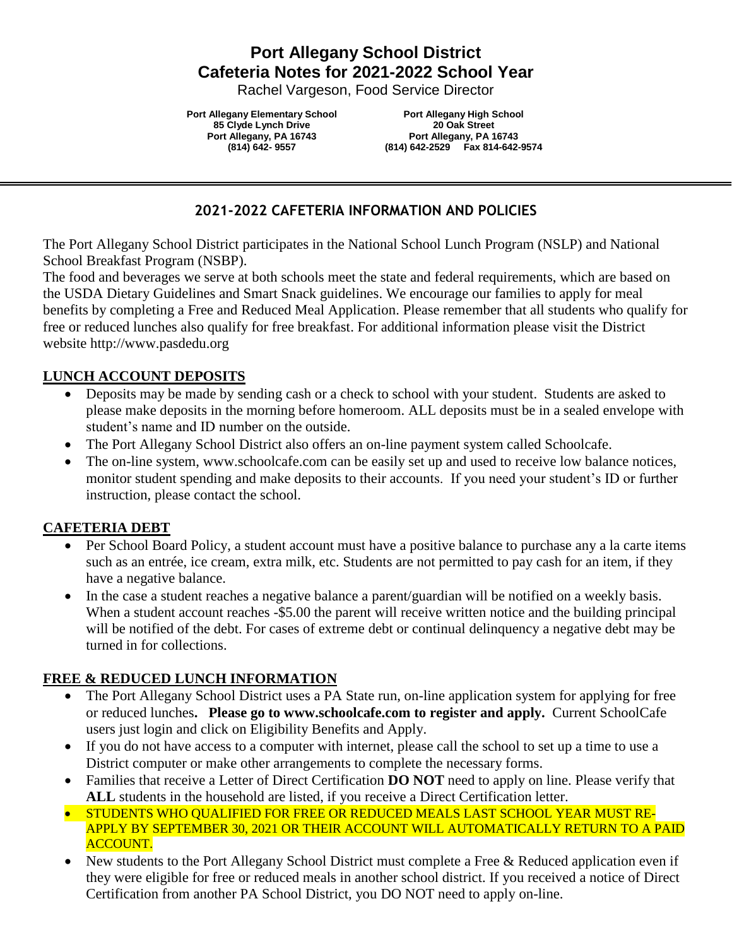# **Port Allegany School District Cafeteria Notes for 2021-2022 School Year**

Rachel Vargeson, Food Service Director

**Port Allegany Elementary School 85 Clyde Lynch Drive Port Allegany, PA 16743 (814) 642- 9557**

**Port Allegany High School 20 Oak Street Port Allegany, PA 16743 (814) 642-2529 Fax 814-642-9574**

#### **2021-2022 CAFETERIA INFORMATION AND POLICIES**

The Port Allegany School District participates in the National School Lunch Program (NSLP) and National School Breakfast Program (NSBP).

The food and beverages we serve at both schools meet the state and federal requirements, which are based on the USDA Dietary Guidelines and Smart Snack guidelines. We encourage our families to apply for meal benefits by completing a [Free and Reduced Meal Application.](https://www.paschoolmeals.com/Register.aspx) Please remember that all students who qualify for free or reduced lunches also qualify for free breakfast. For additional information please visit the District website http://www.pasdedu.org

#### **LUNCH ACCOUNT DEPOSITS**

- Deposits may be made by sending cash or a check to school with your student. Students are asked to please make deposits in the morning before homeroom. ALL deposits must be in a sealed envelope with student's name and ID number on the outside.
- The Port Allegany School District also offers an on-line payment system called Schoolcafe.
- The on-line system, www.schoolcafe.com can be easily set up and used to receive low balance notices, monitor student spending and make deposits to their accounts. If you need your student's ID or further instruction, please contact the school.

#### **CAFETERIA DEBT**

- Per School Board Policy, a student account must have a positive balance to purchase any a la carte items such as an entrée, ice cream, extra milk, etc. Students are not permitted to pay cash for an item, if they have a negative balance.
- In the case a student reaches a negative balance a parent/guardian will be notified on a weekly basis. When a student account reaches -\$5.00 the parent will receive written notice and the building principal will be notified of the debt. For cases of extreme debt or continual delinquency a negative debt may be turned in for collections.

#### **FREE & REDUCED LUNCH INFORMATION**

- The Port Allegany School District uses a PA State run, on-line application system for applying for free or reduced lunches**. Please go to www.schoolcafe.com to register and apply.** Current SchoolCafe users just login and click on Eligibility Benefits and Apply.
- If you do not have access to a computer with internet, please call the school to set up a time to use a District computer or make other arrangements to complete the necessary forms.
- Families that receive a Letter of Direct Certification **DO NOT** need to apply on line. Please verify that **ALL** students in the household are listed, if you receive a Direct Certification letter.
- **STUDENTS WHO QUALIFIED FOR FREE OR REDUCED MEALS LAST SCHOOL YEAR MUST RE-**APPLY BY SEPTEMBER 30, 2021 OR THEIR ACCOUNT WILL AUTOMATICALLY RETURN TO A PAID ACCOUNT.
- New students to the Port Allegany School District must complete a Free & Reduced application even if they were eligible for free or reduced meals in another school district. If you received a notice of Direct Certification from another PA School District, you DO NOT need to apply on-line.